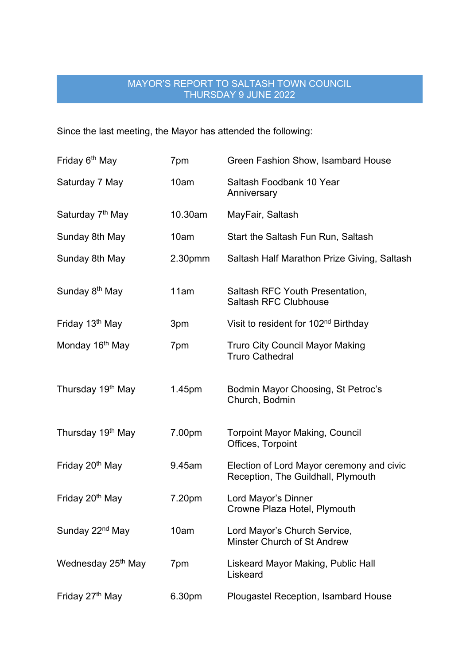## MAYOR'S REPORT TO SALTASH TOWN COUNCIL THURSDAY 9 JUNE 2022

Since the last meeting, the Mayor has attended the following:

| Friday 6 <sup>th</sup> May     | 7pm                 | Green Fashion Show, Isambard House                                              |
|--------------------------------|---------------------|---------------------------------------------------------------------------------|
| Saturday 7 May                 | 10am                | Saltash Foodbank 10 Year<br>Anniversary                                         |
| Saturday 7 <sup>th</sup> May   | 10.30am             | MayFair, Saltash                                                                |
| Sunday 8th May                 | 10am                | Start the Saltash Fun Run, Saltash                                              |
| Sunday 8th May                 | 2.30 <sub>pmm</sub> | Saltash Half Marathon Prize Giving, Saltash                                     |
| Sunday 8 <sup>th</sup> May     | 11am                | Saltash RFC Youth Presentation,<br><b>Saltash RFC Clubhouse</b>                 |
| Friday 13 <sup>th</sup> May    | 3pm                 | Visit to resident for 102 <sup>nd</sup> Birthday                                |
| Monday 16 <sup>th</sup> May    | 7pm                 | <b>Truro City Council Mayor Making</b><br><b>Truro Cathedral</b>                |
| Thursday 19 <sup>th</sup> May  | 1.45pm              | Bodmin Mayor Choosing, St Petroc's<br>Church, Bodmin                            |
| Thursday 19 <sup>th</sup> May  | 7.00pm              | <b>Torpoint Mayor Making, Council</b><br>Offices, Torpoint                      |
| Friday 20 <sup>th</sup> May    | 9.45am              | Election of Lord Mayor ceremony and civic<br>Reception, The Guildhall, Plymouth |
| Friday 20 <sup>th</sup> May    | 7.20pm              | Lord Mayor's Dinner<br>Crowne Plaza Hotel, Plymouth                             |
| Sunday 22 <sup>nd</sup> May    | 10am                | Lord Mayor's Church Service,<br>Minster Church of St Andrew                     |
| Wednesday 25 <sup>th</sup> May | 7pm                 | Liskeard Mayor Making, Public Hall<br>Liskeard                                  |
| Friday 27 <sup>th</sup> May    | 6.30pm              | Plougastel Reception, Isambard House                                            |